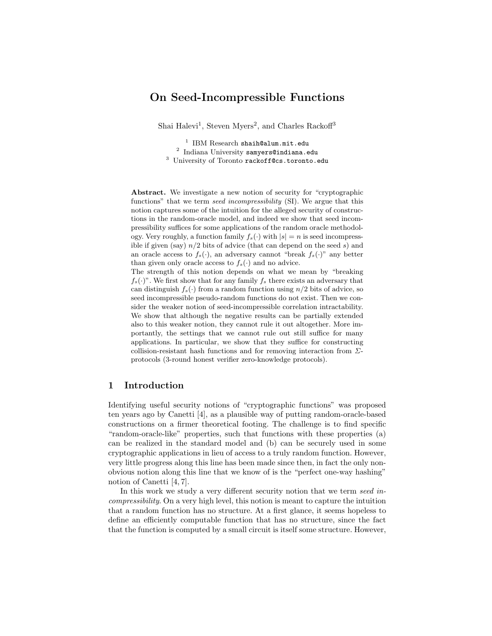# On Seed-Incompressible Functions

Shai Halevi<sup>1</sup>, Steven Myers<sup>2</sup>, and Charles Rackoff<sup>3</sup>

<sup>1</sup> IBM Research shaih@alum.mit.edu  $^2$  Indiana University samyers@indiana.edu <sup>3</sup> University of Toronto rackoff@cs.toronto.edu

Abstract. We investigate a new notion of security for "cryptographic functions" that we term *seed incompressibility* (SI). We argue that this notion captures some of the intuition for the alleged security of constructions in the random-oracle model, and indeed we show that seed incompressibility suffices for some applications of the random oracle methodology. Very roughly, a function family  $f_s(\cdot)$  with  $|s|=n$  is seed incompressible if given (say)  $n/2$  bits of advice (that can depend on the seed s) and an oracle access to  $f_s(\cdot)$ , an adversary cannot "break  $f_s(\cdot)$ " any better than given only oracle access to  $f_s(\cdot)$  and no advice.

The strength of this notion depends on what we mean by "breaking  $f_s(\cdot)$ ". We first show that for any family  $f_s$  there exists an adversary that can distinguish  $f_s(\cdot)$  from a random function using  $n/2$  bits of advice, so seed incompressible pseudo-random functions do not exist. Then we consider the weaker notion of seed-incompressible correlation intractability. We show that although the negative results can be partially extended also to this weaker notion, they cannot rule it out altogether. More importantly, the settings that we cannot rule out still suffice for many applications. In particular, we show that they suffice for constructing collision-resistant hash functions and for removing interaction from  $\Sigma$ protocols (3-round honest verifier zero-knowledge protocols).

## 1 Introduction

Identifying useful security notions of "cryptographic functions" was proposed ten years ago by Canetti [4], as a plausible way of putting random-oracle-based constructions on a firmer theoretical footing. The challenge is to find specific "random-oracle-like" properties, such that functions with these properties (a) can be realized in the standard model and (b) can be securely used in some cryptographic applications in lieu of access to a truly random function. However, very little progress along this line has been made since then, in fact the only nonobvious notion along this line that we know of is the "perfect one-way hashing" notion of Canetti [4, 7].

In this work we study a very different security notion that we term seed incompressibility. On a very high level, this notion is meant to capture the intuition that a random function has no structure. At a first glance, it seems hopeless to define an efficiently computable function that has no structure, since the fact that the function is computed by a small circuit is itself some structure. However,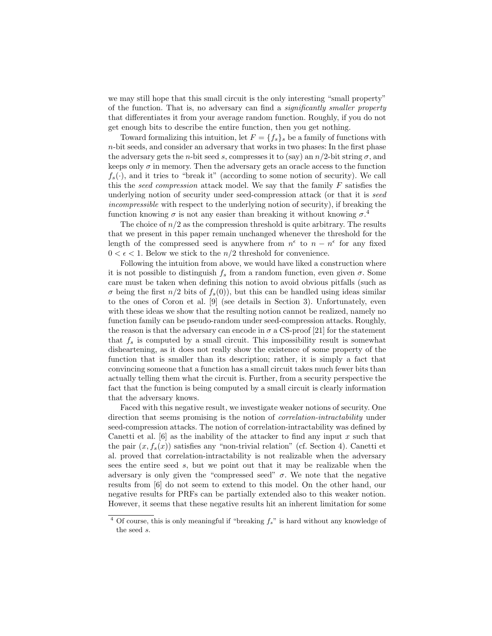we may still hope that this small circuit is the only interesting "small property" of the function. That is, no adversary can find a significantly smaller property that differentiates it from your average random function. Roughly, if you do not get enough bits to describe the entire function, then you get nothing.

Toward formalizing this intuition, let  $F = \{f_s\}_s$  be a family of functions with n-bit seeds, and consider an adversary that works in two phases: In the first phase the adversary gets the *n*-bit seed s, compresses it to (say) an  $n/2$ -bit string  $\sigma$ , and keeps only  $\sigma$  in memory. Then the adversary gets an oracle access to the function  $f_s(\cdot)$ , and it tries to "break it" (according to some notion of security). We call this the seed compression attack model. We say that the family  $F$  satisfies the underlying notion of security under seed-compression attack (or that it is seed incompressible with respect to the underlying notion of security), if breaking the function knowing  $\sigma$  is not any easier than breaking it without knowing  $\sigma^4$ .

The choice of  $n/2$  as the compression threshold is quite arbitrary. The results that we present in this paper remain unchanged whenever the threshold for the length of the compressed seed is anywhere from  $n^{\epsilon}$  to  $n - n^{\epsilon}$  for any fixed  $0 < \epsilon < 1$ . Below we stick to the  $n/2$  threshold for convenience.

Following the intuition from above, we would have liked a construction where it is not possible to distinguish  $f_s$  from a random function, even given  $\sigma$ . Some care must be taken when defining this notion to avoid obvious pitfalls (such as  $\sigma$  being the first  $n/2$  bits of  $f_s(0)$ , but this can be handled using ideas similar to the ones of Coron et al. [9] (see details in Section 3). Unfortunately, even with these ideas we show that the resulting notion cannot be realized, namely no function family can be pseudo-random under seed-compression attacks. Roughly, the reason is that the adversary can encode in  $\sigma$  a CS-proof [21] for the statement that  $f_s$  is computed by a small circuit. This impossibility result is somewhat disheartening, as it does not really show the existence of some property of the function that is smaller than its description; rather, it is simply a fact that convincing someone that a function has a small circuit takes much fewer bits than actually telling them what the circuit is. Further, from a security perspective the fact that the function is being computed by a small circuit is clearly information that the adversary knows.

Faced with this negative result, we investigate weaker notions of security. One direction that seems promising is the notion of correlation-intractability under seed-compression attacks. The notion of correlation-intractability was defined by Canetti et al.  $[6]$  as the inability of the attacker to find any input x such that the pair  $(x, f_s(x))$  satisfies any "non-trivial relation" (cf. Section 4). Canetti et al. proved that correlation-intractability is not realizable when the adversary sees the entire seed s, but we point out that it may be realizable when the adversary is only given the "compressed seed"  $\sigma$ . We note that the negative results from [6] do not seem to extend to this model. On the other hand, our negative results for PRFs can be partially extended also to this weaker notion. However, it seems that these negative results hit an inherent limitation for some

<sup>&</sup>lt;sup>4</sup> Of course, this is only meaningful if "breaking  $f_s$ " is hard without any knowledge of the seed s.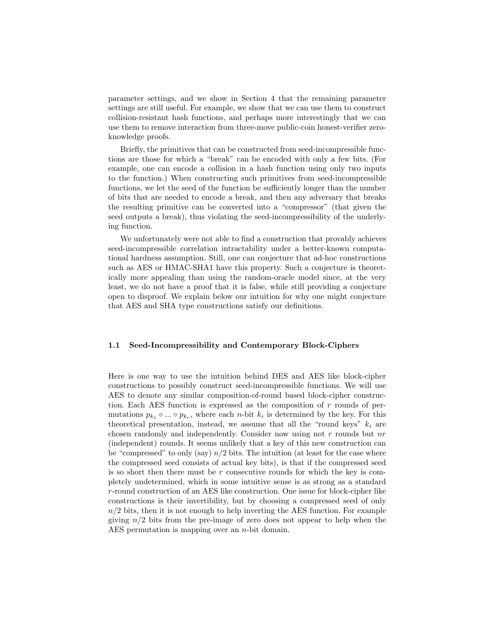parameter settings, and we show in Section 4 that the remaining parameter settings are still useful. For example, we show that we can use them to construct collision-resistant hash functions, and perhaps more interestingly that we can use them to remove interaction from three-move public-coin honest-verifier zeroknowledge proofs.

Briefly, the primitives that can be constructed from seed-incompressible functions are those for which a "break" can be encoded with only a few bits. (For example, one can encode a collision in a hash function using only two inputs to the function.) When constructing such primitives from seed-incompressible functions, we let the seed of the function be sufficiently longer than the number of bits that are needed to encode a break, and then any adversary that breaks the resulting primitive can be converted into a "compressor" (that given the seed outputs a break), thus violating the seed-incompressibility of the underlying function.

We unfortunately were not able to find a construction that provably achieves seed-incompressible correlation intractability under a better-known computational hardness assumption. Still, one can conjecture that ad-hoc constructions such as AES or HMAC-SHA1 have this property. Such a conjecture is theoretically more appealing than using the random-oracle model since, at the very least, we do not have a proof that it is false, while still providing a conjecture open to disproof. We explain below our intuition for why one might conjecture that AES and SHA type constructions satisfy our definitions.

#### 1.1 Seed-Incompressibility and Contemporary Block-Ciphers

Here is one way to use the intuition behind DES and AES like block-cipher constructions to possibly construct seed-incompressible functions. We will use AES to denote any similar composition-of-round based block-cipher construction. Each AES function is expressed as the composition of  $r$  rounds of permutations  $p_{k_1} \circ ... \circ p_{k_r}$ , where each *n*-bit  $k_i$  is determined by the key. For this theoretical presentation, instead, we assume that all the "round keys"  $k_i$  are chosen randomly and independently. Consider now using not r rounds but nr (independent) rounds. It seems unlikely that a key of this new construction can be "compressed" to only (say)  $n/2$  bits. The intuition (at least for the case where the compressed seed consists of actual key bits), is that if the compressed seed is so short then there must be  $r$  consecutive rounds for which the key is completely undetermined, which in some intuitive sense is as strong as a standard r-round construction of an AES like construction. One issue for block-cipher like constructions is their invertibility, but by choosing a compressed seed of only  $n/2$  bits, then it is not enough to help inverting the AES function. For example giving  $n/2$  bits from the pre-image of zero does not appear to help when the AES permutation is mapping over an n-bit domain.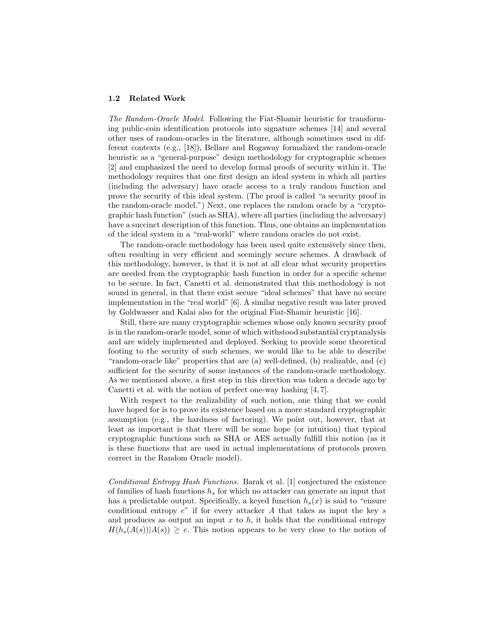### 1.2 Related Work

The Random-Oracle Model. Following the Fiat-Shamir heuristic for transforming public-coin identification protocols into signature schemes [14] and several other uses of random-oracles in the literature, although sometimes used in different contexts (e.g., [18]), Bellare and Rogaway formalized the random-oracle heuristic as a "general-purpose" design methodology for cryptographic schemes [2] and emphasized the need to develop formal proofs of security within it. The methodology requires that one first design an ideal system in which all parties (including the adversary) have oracle access to a truly random function and prove the security of this ideal system. (The proof is called "a security proof in the random-oracle model.") Next, one replaces the random oracle by a "cryptographic hash function" (such as SHA), where all parties (including the adversary) have a succinct description of this function. Thus, one obtains an implementation of the ideal system in a "real-world" where random oracles do not exist.

The random-oracle methodology has been used quite extensively since then, often resulting in very efficient and seemingly secure schemes. A drawback of this methodology, however, is that it is not at all clear what security properties are needed from the cryptographic hash function in order for a specific scheme to be secure. In fact, Canetti et al. demonstrated that this methodology is not sound in general, in that there exist secure "ideal schemes" that have no secure implementation in the "real world" [6]. A similar negative result was later proved by Goldwasser and Kalai also for the original Fiat-Shamir heuristic [16].

Still, there are many cryptographic schemes whose only known security proof is in the random-oracle model, some of which withstood substantial cryptanalysis and are widely implemented and deployed. Seeking to provide some theoretical footing to the security of such schemes, we would like to be able to describe "random-oracle like" properties that are (a) well-defined, (b) realizable, and (c) sufficient for the security of some instances of the random-oracle methodology. As we mentioned above, a first step in this direction was taken a decade ago by Canetti et al. with the notion of perfect one-way hashing [4, 7].

With respect to the realizability of such notion, one thing that we could have hoped for is to prove its existence based on a more standard cryptographic assumption (e.g., the hardness of factoring). We point out, however, that at least as important is that there will be some hope (or intuition) that typical cryptographic functions such as SHA or AES actually fulfill this notion (as it is these functions that are used in actual implementations of protocols proven correct in the Random Oracle model).

Conditional Entropy Hash Functions. Barak et al. [1] conjectured the existence of families of hash functions  $h_s$  for which no attacker can generate an input that has a predictable output. Specifically, a keyed function  $h_s(x)$  is said to "ensure conditional entropy  $e^r$  if for every attacker A that takes as input the key s and produces as output an input  $x$  to  $h$ , it holds that the conditional entropy  $H(h<sub>s</sub>(A(s))|A(s)) \geq e$ . This notion appears to be very close to the notion of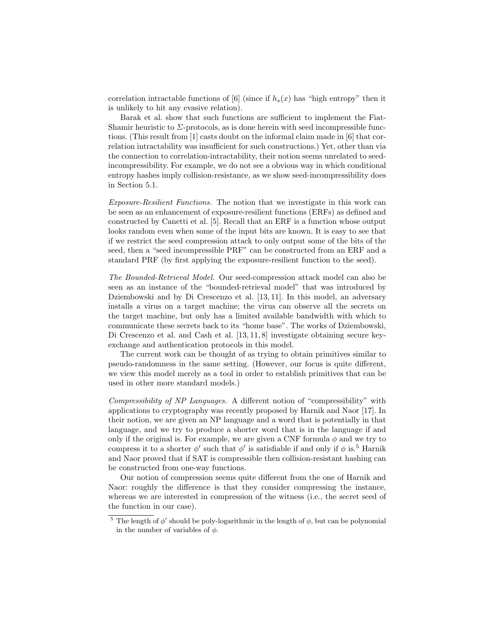correlation intractable functions of [6] (since if  $h_s(x)$  has "high entropy" then it is unlikely to hit any evasive relation).

Barak et al. show that such functions are sufficient to implement the Fiat-Shamir heuristic to  $\Sigma$ -protocols, as is done herein with seed incompressible functions. (This result from [1] casts doubt on the informal claim made in [6] that correlation intractability was insufficient for such constructions.) Yet, other than via the connection to correlation-intractability, their notion seems unrelated to seedincompressibility. For example, we do not see a obvious way in which conditional entropy hashes imply collision-resistance, as we show seed-incompressibility does in Section 5.1.

Exposure-Resilient Functions. The notion that we investigate in this work can be seen as an enhancement of exposure-resilient functions (ERFs) as defined and constructed by Canetti et al. [5]. Recall that an ERF is a function whose output looks random even when some of the input bits are known. It is easy to see that if we restrict the seed compression attack to only output some of the bits of the seed, then a "seed incompressible PRF" can be constructed from an ERF and a standard PRF (by first applying the exposure-resilient function to the seed).

The Bounded-Retrieval Model. Our seed-compression attack model can also be seen as an instance of the "bounded-retrieval model" that was introduced by Dziembowski and by Di Crescenzo et al. [13, 11]. In this model, an adversary installs a virus on a target machine; the virus can observe all the secrets on the target machine, but only has a limited available bandwidth with which to communicate these secrets back to its "home base". The works of Dziembowski, Di Crescenzo et al. and Cash et al. [13, 11, 8] investigate obtaining secure keyexchange and authentication protocols in this model.

The current work can be thought of as trying to obtain primitives similar to pseudo-randomness in the same setting. (However, our focus is quite different, we view this model merely as a tool in order to establish primitives that can be used in other more standard models.)

Compressibility of NP Languages. A different notion of "compressibility" with applications to cryptography was recently proposed by Harnik and Naor [17]. In their notion, we are given an NP language and a word that is potentially in that language, and we try to produce a shorter word that is in the language if and only if the original is. For example, we are given a CNF formula  $\phi$  and we try to compress it to a shorter  $\phi'$  such that  $\phi'$  is satisfiable if and only if  $\phi$  is.<sup>5</sup> Harnik and Naor proved that if SAT is compressible then collision-resistant hashing can be constructed from one-way functions.

Our notion of compression seems quite different from the one of Harnik and Naor: roughly the difference is that they consider compressing the instance, whereas we are interested in compression of the witness (i.e., the secret seed of the function in our case).

<sup>&</sup>lt;sup>5</sup> The length of  $\phi'$  should be poly-logarithmic in the length of  $\phi$ , but can be polynomial in the number of variables of  $\phi$ .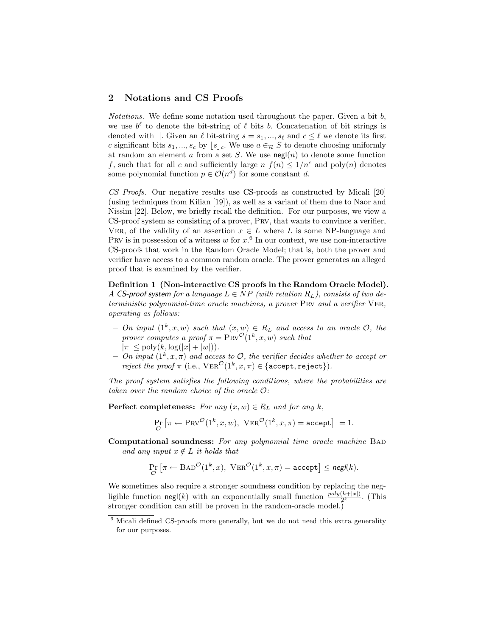# 2 Notations and CS Proofs

Notations. We define some notation used throughout the paper. Given a bit  $b$ , we use  $b^{\ell}$  to denote the bit-string of  $\ell$  bits b. Concatenation of bit strings is denoted with  $\parallel$ . Given an  $\ell$  bit-string  $s = s_1, ..., s_\ell$  and  $c \leq \ell$  we denote its first c significant bits  $s_1, ..., s_c$  by  $\lfloor s \rfloor_c$ . We use  $a \in \mathcal{R}$  S to denote choosing uniformly at random an element a from a set S. We use  $\operatorname{negl}(n)$  to denote some function f, such that for all c and sufficiently large  $n \nvert f(n) \leq 1/n^c$  and  $\text{poly}(n)$  denotes some polynomial function  $p \in \mathcal{O}(n^d)$  for some constant d.

CS Proofs. Our negative results use CS-proofs as constructed by Micali [20] (using techniques from Kilian [19]), as well as a variant of them due to Naor and Nissim [22]. Below, we briefly recall the definition. For our purposes, we view a CS-proof system as consisting of a prover, Prv, that wants to convince a verifier, VER, of the validity of an assertion  $x \in L$  where L is some NP-language and PRV is in possession of a witness  $w$  for  $x$ .<sup>6</sup> In our context, we use non-interactive CS-proofs that work in the Random Oracle Model; that is, both the prover and verifier have access to a common random oracle. The prover generates an alleged proof that is examined by the verifier.

Definition 1 (Non-interactive CS proofs in the Random Oracle Model). A CS-proof system for a language  $L \in NP$  (with relation  $R_L$ ), consists of two deterministic polynomial-time oracle machines, a prover PRV and a verifier VER, operating as follows:

- $-$  On input  $(1^k, x, w)$  such that  $(x, w) \in R_L$  and access to an oracle  $\mathcal{O}$ , the prover computes a proof  $\pi = \text{Pav}^{\mathcal{O}}(1^k, x, w)$  such that  $|\pi| \leq \text{poly}(k, \log(|x|+|w|)).$
- $-$  On input  $(1^k, x, \pi)$  and access to O, the verifier decides whether to accept or *reject the proof*  $\pi$  (i.e.,  $\text{VER}^{\mathcal{O}}(1^k, x, \pi) \in \{\text{accept}, \text{reject}\}).$

The proof system satisfies the following conditions, where the probabilities are taken over the random choice of the oracle  $\mathcal{O}$ :

**Perfect completeness:** For any  $(x, w) \in R_L$  and for any k,

$$
\Pr_{\mathcal{O}}\left[\pi \leftarrow \text{PRV}^{\mathcal{O}}(1^k, x, w), \text{ VER}^{\mathcal{O}}(1^k, x, \pi) = \text{accept}\right] = 1.
$$

Computational soundness: For any polynomial time oracle machine BAD and any input  $x \notin L$  it holds that

$$
\Pr_{\mathcal{O}}\left[\pi \leftarrow \mathrm{BAD}^{\mathcal{O}}(1^k, x), \ \mathrm{VER}^{\mathcal{O}}(1^k, x, \pi) = \mathsf{accept}\right] \leq \mathit{negl}(k).
$$

We sometimes also require a stronger soundness condition by replacing the negligible function  $\text{negl}(k)$  with an exponentially small function  $\frac{poly(k+|x|)}{2^k}$ . (This stronger condition can still be proven in the random-oracle model.

 $6$  Micali defined CS-proofs more generally, but we do not need this extra generality for our purposes.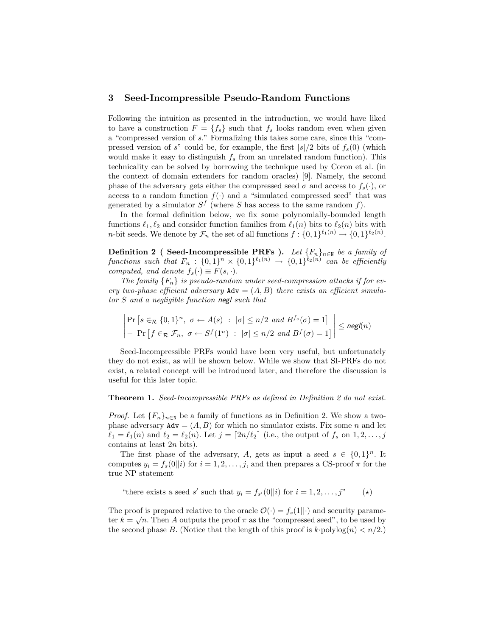## 3 Seed-Incompressible Pseudo-Random Functions

Following the intuition as presented in the introduction, we would have liked to have a construction  $F = \{f_s\}$  such that  $f_s$  looks random even when given a "compressed version of s." Formalizing this takes some care, since this "compressed version of s" could be, for example, the first  $|s|/2$  bits of  $f_s(0)$  (which would make it easy to distinguish  $f_s$  from an unrelated random function). This technicality can be solved by borrowing the technique used by Coron et al. (in the context of domain extenders for random oracles) [9]. Namely, the second phase of the adversary gets either the compressed seed  $\sigma$  and access to  $f_s(\cdot)$ , or access to a random function  $f(.)$  and a "simulated compressed seed" that was generated by a simulator  $S^f$  (where S has access to the same random f).

In the formal definition below, we fix some polynomially-bounded length functions  $\ell_1, \ell_2$  and consider function families from  $\ell_1(n)$  bits to  $\ell_2(n)$  bits with *n*-bit seeds. We denote by  $\mathcal{F}_n$  the set of all functions  $f: \{0,1\}^{\ell_1(n)} \to \{0,1\}^{\ell_2(n)}$ .

Definition 2 ( Seed-Incompressible PRFs ). Let  $\{F_n\}_{n\in\mathbb{N}}$  be a family of functions such that  $F_n$  :  $\{0,1\}^n \times \{0,1\}^{\ell_1(n)} \rightarrow \{0,1\}^{\ell_2(n)}$  can be efficiently computed, and denote  $f_s(\cdot) \equiv F(s, \cdot)$ .

The family  ${F_n}$  is pseudo-random under seed-compression attacks if for every two-phase efficient adversary  $\text{Adv} = (A, B)$  there exists an efficient simulator S and a negligible function negl such that

$$
\left|\Pr\left[s\in_{\mathcal{R}}\{0,1\}^n, \ \sigma\leftarrow A(s) \ : \ |\sigma|\leq n/2 \ \text{and} \ B^{f_s}(\sigma)=1\right]\right| \leq \mathsf{negl}(n)
$$
  
- 
$$
\left|\Pr\left[f\in_{\mathcal{R}}\mathcal{F}_n, \ \sigma\leftarrow S^f(1^n) \ : \ |\sigma|\leq n/2 \ \text{and} \ B^f(\sigma)=1\right]\right|\leq \mathsf{negl}(n)
$$

Seed-Incompressible PRFs would have been very useful, but unfortunately they do not exist, as will be shown below. While we show that SI-PRFs do not exist, a related concept will be introduced later, and therefore the discussion is useful for this later topic.

#### Theorem 1. Seed-Incompressible PRFs as defined in Definition 2 do not exist.

*Proof.* Let  ${F_n}_{n\in\mathbb{N}}$  be a family of functions as in Definition 2. We show a twophase adversary  $\text{Adv} = (A, B)$  for which no simulator exists. Fix some n and let  $\ell_1 = \ell_1(n)$  and  $\ell_2 = \ell_2(n)$ . Let  $j = \lfloor 2n/\ell_2 \rfloor$  (i.e., the output of  $f_s$  on  $1, 2, \ldots, j$ contains at least 2n bits).

The first phase of the adversary, A, gets as input a seed  $s \in \{0,1\}^n$ . It computes  $y_i = f_s(0||i)$  for  $i = 1, 2, ..., j$ , and then prepares a CS-proof  $\pi$  for the true NP statement

"there exists a seed s' such that  $y_i = f_{s'}(0||i)$  for  $i = 1, 2, ..., j''$  (\*)

The proof is prepared relative to the oracle  $\mathcal{O}(\cdot) = f_s(1||\cdot)$  and security parameter  $k = \sqrt{n}$ . Then A outputs the proof  $\pi$  as the "compressed seed", to be used by the second phase B. (Notice that the length of this proof is  $k$ -polylog $(n) < n/2$ .)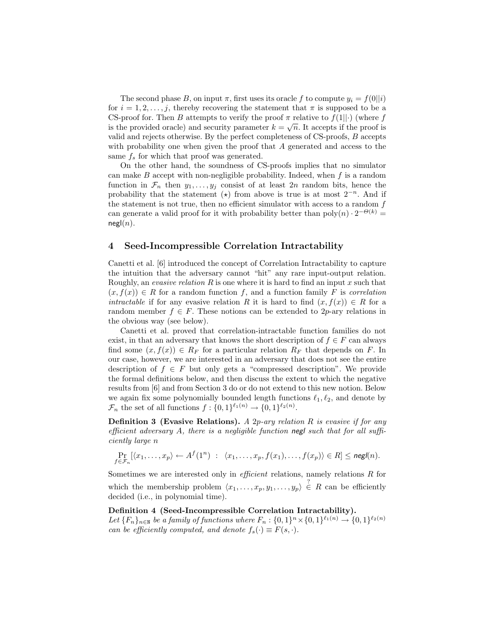The second phase B, on input  $\pi$ , first uses its oracle f to compute  $y_i = f(0||i)$ for  $i = 1, 2, \ldots, j$ , thereby recovering the statement that  $\pi$  is supposed to be a CS-proof for. Then B attempts to verify the proof  $\pi$  relative to  $f(1||\cdot)$  (where f is the provided oracle) and security parameter  $k = \sqrt{n}$ . It accepts if the proof is valid and rejects otherwise. By the perfect completeness of CS-proofs, B accepts with probability one when given the proof that A generated and access to the same  $f_s$  for which that proof was generated.

On the other hand, the soundness of CS-proofs implies that no simulator can make  $B$  accept with non-negligible probability. Indeed, when  $f$  is a random function in  $\mathcal{F}_n$  then  $y_1, \ldots, y_j$  consist of at least  $2n$  random bits, hence the probability that the statement  $(\star)$  from above is true is at most  $2^{-n}$ . And if the statement is not true, then no efficient simulator with access to a random f can generate a valid proof for it with probability better than  $poly(n) \cdot 2^{-\Theta(k)} =$  $negl(n)$ .

## 4 Seed-Incompressible Correlation Intractability

Canetti et al. [6] introduced the concept of Correlation Intractability to capture the intuition that the adversary cannot "hit" any rare input-output relation. Roughly, an *evasive relation*  $R$  is one where it is hard to find an input  $x$  such that  $(x, f(x)) \in R$  for a random function f, and a function family F is correlation *intractable* if for any evasive relation R it is hard to find  $(x, f(x)) \in R$  for a random member  $f \in F$ . These notions can be extended to 2p-ary relations in the obvious way (see below).

Canetti et al. proved that correlation-intractable function families do not exist, in that an adversary that knows the short description of  $f \in F$  can always find some  $(x, f(x)) \in R_F$  for a particular relation  $R_F$  that depends on F. In our case, however, we are interested in an adversary that does not see the entire description of  $f \in F$  but only gets a "compressed description". We provide the formal definitions below, and then discuss the extent to which the negative results from [6] and from Section 3 do or do not extend to this new notion. Below we again fix some polynomially bounded length functions  $\ell_1, \ell_2$ , and denote by  $\mathcal{F}_n$  the set of all functions  $f: \{0,1\}^{\ell_1(n)} \to \{0,1\}^{\ell_2(n)}$ .

**Definition 3 (Evasive Relations).** A 2p-ary relation R is evasive if for any efficient adversary A, there is a negligible function negl such that for all sufficiently large n

$$
\Pr_{f \in \mathcal{F}_n} [\langle x_1, \dots, x_p \rangle \leftarrow A^f(1^n) \; : \; \langle x_1, \dots, x_p, f(x_1), \dots, f(x_p) \rangle \in R] \leq \mathsf{negl}(n).
$$

Sometimes we are interested only in  $efficient$  relations, namely relations  $R$  for which the membership problem  $\langle x_1, \ldots, x_p, y_1, \ldots, y_p \rangle \in \mathbb{R}$  can be efficiently decided (i.e., in polynomial time).

### Definition 4 (Seed-Incompressible Correlation Intractability).

Let  $\{F_n\}_{n\in\mathbb{N}}$  be a family of functions where  $F_n: \{0,1\}^n\times\{0,1\}^{\ell_1(n)}\to\{0,1\}^{\ell_2(n)}$ can be efficiently computed, and denote  $f_s(\cdot) \equiv F(s, \cdot)$ .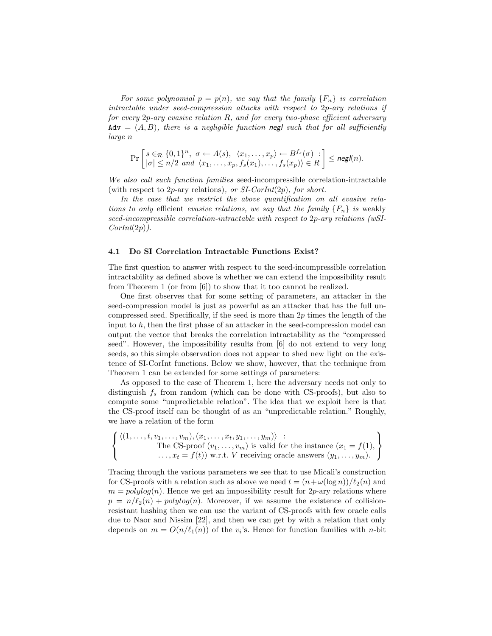For some polynomial  $p = p(n)$ , we say that the family  $\{F_n\}$  is correlation intractable under seed-compression attacks with respect to 2p-ary relations if for every 2p-ary evasive relation R, and for every two-phase efficient adversary  $\text{Adv} = (A, B)$ , there is a negligible function negl such that for all sufficiently large n

$$
\Pr\left[s\in \mathcal{R}\{0,1\}^n, \ \sigma \leftarrow A(s), \ \langle x_1,\ldots,x_p\rangle \leftarrow B^{f_s}(\sigma):\\ |\sigma| \leq n/2 \ \text{and} \ \langle x_1,\ldots,x_p,f_s(x_1),\ldots,f_s(x_p)\rangle \in R\right] \leq \text{negl}(n).
$$

We also call such function families seed-incompressible correlation-intractable (with respect to 2p-ary relations), or  $SI$ -CorInt(2p), for short.

In the case that we restrict the above quantification on all evasive relations to only efficient evasive relations, we say that the family  ${F_n}$  is weakly seed-incompressible correlation-intractable with respect to 2p-ary relations (wSI- $CorInt(2p)$ .

### 4.1 Do SI Correlation Intractable Functions Exist?

The first question to answer with respect to the seed-incompressible correlation intractability as defined above is whether we can extend the impossibility result from Theorem 1 (or from [6]) to show that it too cannot be realized.

One first observes that for some setting of parameters, an attacker in the seed-compression model is just as powerful as an attacker that has the full uncompressed seed. Specifically, if the seed is more than  $2p$  times the length of the input to  $h$ , then the first phase of an attacker in the seed-compression model can output the vector that breaks the correlation intractability as the "compressed seed". However, the impossibility results from [6] do not extend to very long seeds, so this simple observation does not appear to shed new light on the existence of SI-CorInt functions. Below we show, however, that the technique from Theorem 1 can be extended for some settings of parameters:

As opposed to the case of Theorem 1, here the adversary needs not only to distinguish  $f_s$  from random (which can be done with CS-proofs), but also to compute some "unpredictable relation". The idea that we exploit here is that the CS-proof itself can be thought of as an "unpredictable relation." Roughly, we have a relation of the form

$$
\left\{\n\begin{array}{c}\n\langle (1,\ldots,t,v_1,\ldots,v_m), (x_1,\ldots,x_t,y_1,\ldots,y_m) \rangle :\n\text{ The CS-proof } (v_1,\ldots,v_m) \text{ is valid for the instance } (x_1 = f(1),\n\ldots,x_t = f(t)) \text{ w.r.t. } V \text{ receiving oracle answers } (y_1,\ldots,y_m).\n\end{array}\n\right\}
$$

Tracing through the various parameters we see that to use Micali's construction for CS-proofs with a relation such as above we need  $t = (n + \omega(\log n))/\ell_2(n)$  and  $m = polylog(n)$ . Hence we get an impossibility result for  $2p$ -ary relations where  $p = n/\ell_2(n) + polylog(n)$ . Moreover, if we assume the existence of collisionresistant hashing then we can use the variant of CS-proofs with few oracle calls due to Naor and Nissim [22], and then we can get by with a relation that only depends on  $m = O(n/\ell_1(n))$  of the  $v_i$ 's. Hence for function families with *n*-bit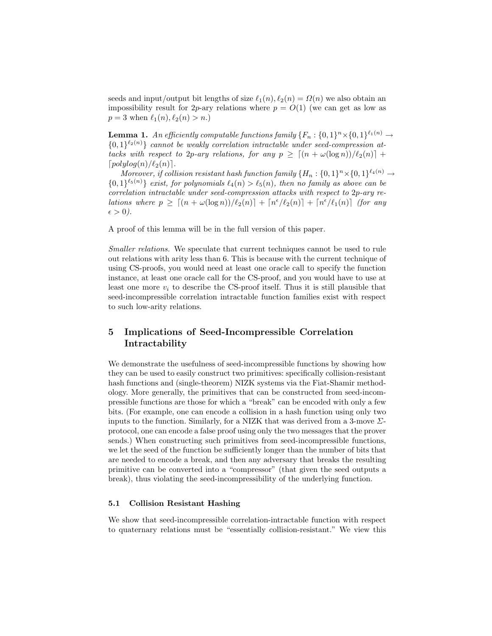seeds and input/output bit lengths of size  $\ell_1(n)$ ,  $\ell_2(n) = \Omega(n)$  we also obtain an impossibility result for 2p-ary relations where  $p = O(1)$  (we can get as low as  $p = 3$  when  $\ell_1(n), \ell_2(n) > n$ .)

**Lemma 1.** An efficiently computable functions family  $\{F_n: \{0,1\}^n \times \{0,1\}^{\ell_1(n)} \rightarrow$  $\{0,1\}^{\ell_2(n)}\}$  cannot be weakly correlation intractable under seed-compression attacks with respect to 2p-ary relations, for any  $p \geq \lfloor (n + \omega(\log n))/\ell_2(n) \rfloor +$  $[polylog(n)/\ell_2(n)]$ .

Moreover, if collision resistant hash function family  $\{H_n: \{0,1\}^n\times \{0,1\}^{\ell_4(n)} \to$  $\{0,1\}^{\ell_5(n)}\}$  exist, for polynomials  $\ell_4(n) > \ell_5(n)$ , then no family as above can be correlation intractable under seed-compression attacks with respect to 2p-ary relations where  $p \geq \lceil (n + \omega(\log n))/\ell_2(n) \rceil + \lceil n^{\epsilon}/\ell_2(n) \rceil + \lceil n^{\epsilon}/\ell_1(n) \rceil$  (for any  $\epsilon > 0$ ).

A proof of this lemma will be in the full version of this paper.

Smaller relations. We speculate that current techniques cannot be used to rule out relations with arity less than 6. This is because with the current technique of using CS-proofs, you would need at least one oracle call to specify the function instance, at least one oracle call for the CS-proof, and you would have to use at least one more  $v_i$  to describe the CS-proof itself. Thus it is still plausible that seed-incompressible correlation intractable function families exist with respect to such low-arity relations.

# 5 Implications of Seed-Incompressible Correlation Intractability

We demonstrate the usefulness of seed-incompressible functions by showing how they can be used to easily construct two primitives: specifically collision-resistant hash functions and (single-theorem) NIZK systems via the Fiat-Shamir methodology. More generally, the primitives that can be constructed from seed-incompressible functions are those for which a "break" can be encoded with only a few bits. (For example, one can encode a collision in a hash function using only two inputs to the function. Similarly, for a NIZK that was derived from a 3-move  $\Sigma$ protocol, one can encode a false proof using only the two messages that the prover sends.) When constructing such primitives from seed-incompressible functions, we let the seed of the function be sufficiently longer than the number of bits that are needed to encode a break, and then any adversary that breaks the resulting primitive can be converted into a "compressor" (that given the seed outputs a break), thus violating the seed-incompressibility of the underlying function.

## 5.1 Collision Resistant Hashing

We show that seed-incompressible correlation-intractable function with respect to quaternary relations must be "essentially collision-resistant." We view this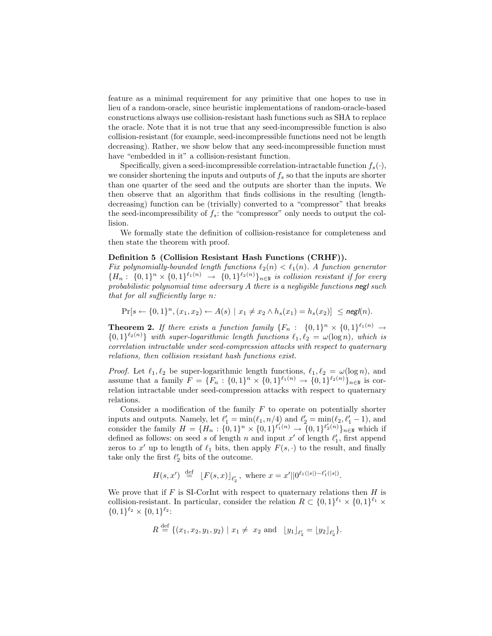feature as a minimal requirement for any primitive that one hopes to use in lieu of a random-oracle, since heuristic implementations of random-oracle-based constructions always use collision-resistant hash functions such as SHA to replace the oracle. Note that it is not true that any seed-incompressible function is also collision-resistant (for example, seed-incompressible functions need not be length decreasing). Rather, we show below that any seed-incompressible function must have "embedded in it" a collision-resistant function.

Specifically, given a seed-incompressible correlation-intractable function  $f_s(\cdot)$ , we consider shortening the inputs and outputs of  $f_s$  so that the inputs are shorter than one quarter of the seed and the outputs are shorter than the inputs. We then observe that an algorithm that finds collisions in the resulting (lengthdecreasing) function can be (trivially) converted to a "compressor" that breaks the seed-incompressibility of  $f_s$ : the "compressor" only needs to output the collision.

We formally state the definition of collision-resistance for completeness and then state the theorem with proof.

#### Definition 5 (Collision Resistant Hash Functions (CRHF)).

Fix polynomially-bounded length functions  $\ell_2(n) < \ell_1(n)$ . A function generator  ${H_n: \{0,1\}^n \times \{0,1\}^{\ell_1(n)} \rightarrow \{0,1\}^{\ell_2(n)}\}_{n \in \mathbb{N}}}$  is collision resistant if for every probabilistic polynomial time adversary A there is a negligible functions negl such that for all sufficiently large n:

 $\Pr[s \leftarrow \{0, 1\}^n, (x_1, x_2) \leftarrow A(s) \mid x_1 \neq x_2 \land h_s(x_1) = h_s(x_2)] \leq {\sf negl}(n).$ 

**Theorem 2.** If there exists a function family  $\{F_n : \{0,1\}^n \times \{0,1\}^{\ell_1(n)} \to$  $\{0,1\}^{\ell_2(n)}\}$  with super-logarithmic length functions  $\ell_1, \ell_2 = \omega(\log n)$ , which is correlation intractable under seed-compression attacks with respect to quaternary relations, then collision resistant hash functions exist.

*Proof.* Let  $\ell_1, \ell_2$  be super-logarithmic length functions,  $\ell_1, \ell_2 = \omega(\log n)$ , and assume that a family  $F = \{F_n : \{0,1\}^n \times \{0,1\}^{\ell_1(n)} \to \{0,1\}^{\ell_2(n)}\}_{n \in \mathbb{N}}$  is correlation intractable under seed-compression attacks with respect to quaternary relations.

Consider a modification of the family  $F$  to operate on potentially shorter inputs and outputs. Namely, let  $\ell'_1 = \min(\ell_1, n/4)$  and  $\ell'_2 = \min(\ell_2, \ell'_1 - 1)$ , and consider the family  $H = \{H_n : \{0,1\}^n \times \{0,1\}^{\ell'_1(n)} \to \{0,1\}^{\ell'_2(n)}\}_{n \in \mathbb{N}}$  which if defined as follows: on seed s of length  $n$  and input  $x'$  of length  $\ell'_1$ , first append zeros to x' up to length of  $\ell_1$  bits, then apply  $F(s, \cdot)$  to the result, and finally take only the first  $\ell_2'$  bits of the outcome.

$$
H(s, x') \stackrel{\text{def}}{=} [F(s, x)]_{\ell'_2}, \text{ where } x = x'||0^{\ell_1(|s|) - \ell'_1(|s|)}.
$$

We prove that if  $F$  is SI-CorInt with respect to quaternary relations then  $H$  is collision-resistant. In particular, consider the relation  $R \subset \{0,1\}^{\ell_1} \times \{0,1\}^{\ell_1} \times$  $\{0,1\}^{\ell_2} \times \{0,1\}^{\ell_2}$ :

$$
R \stackrel{\text{def}}{=} \{ (x_1, x_2, y_1, y_2) \mid x_1 \neq x_2 \text{ and } \lfloor y_1 \rfloor_{\ell'_2} = \lfloor y_2 \rfloor_{\ell'_2} \}.
$$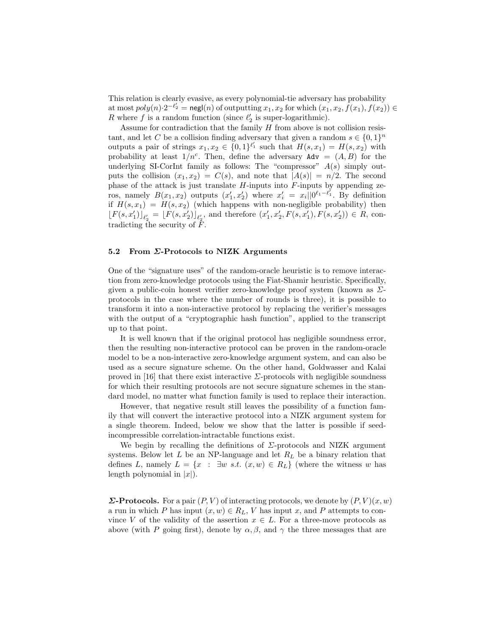This relation is clearly evasive, as every polynomial-tie adversary has probability at most  $poly(n) \cdot 2^{-\ell'_2} = \mathsf{negl}(n)$  of outputting  $x_1, x_2$  for which  $(x_1, x_2, f(x_1), f(x_2)) \in$ R where  $f$  is a random function (since  $\ell'_2$  is super-logarithmic).

Assume for contradiction that the family  $H$  from above is not collision resistant, and let C be a collision finding adversary that given a random  $s \in \{0,1\}^n$ outputs a pair of strings  $x_1, x_2 \in \{0,1\}^{\ell'_1}$  such that  $H(s, x_1) = H(s, x_2)$  with probability at least  $1/n^c$ . Then, define the adversary  $\text{Adv} = (A, B)$  for the underlying SI-CorInt family as follows: The "compressor"  $A(s)$  simply outputs the collision  $(x_1, x_2) = C(s)$ , and note that  $|A(s)| = n/2$ . The second phase of the attack is just translate  $H$ -inputs into  $F$ -inputs by appending zeros, namely  $B(x_1, x_2)$  outputs  $(x'_1, x'_2)$  where  $x'_i = x_i ||0^{\ell_1 - \ell_1^i}$ . By definition if  $H(s, x_1) = H(s, x_2)$  (which happens with non-negligible probability) then  $[F(s, x_1')]_{\ell'_2} = [F(s, x_2')]_{\ell'_2}$ , and therefore  $(x_1', x_2', F(s, x_1'), F(s, x_2')) \in R$ , contradicting the security of  $\bar{F}$ .

## 5.2 From Σ-Protocols to NIZK Arguments

One of the "signature uses" of the random-oracle heuristic is to remove interaction from zero-knowledge protocols using the Fiat-Shamir heuristic. Specifically, given a public-coin honest verifier zero-knowledge proof system (known as Σprotocols in the case where the number of rounds is three), it is possible to transform it into a non-interactive protocol by replacing the verifier's messages with the output of a "cryptographic hash function", applied to the transcript up to that point.

It is well known that if the original protocol has negligible soundness error, then the resulting non-interactive protocol can be proven in the random-oracle model to be a non-interactive zero-knowledge argument system, and can also be used as a secure signature scheme. On the other hand, Goldwasser and Kalai proved in [16] that there exist interactive  $\Sigma$ -protocols with negligible soundness for which their resulting protocols are not secure signature schemes in the standard model, no matter what function family is used to replace their interaction.

However, that negative result still leaves the possibility of a function family that will convert the interactive protocol into a NIZK argument system for a single theorem. Indeed, below we show that the latter is possible if seedincompressible correlation-intractable functions exist.

We begin by recalling the definitions of  $\Sigma$ -protocols and NIZK argument systems. Below let  $L$  be an NP-language and let  $R_L$  be a binary relation that defines L, namely  $L = \{x : \exists w \; s.t. \; (x, w) \in R_L\}$  (where the witness w has length polynomial in  $|x|$ ).

**Σ-Protocols.** For a pair  $(P, V)$  of interacting protocols, we denote by  $(P, V)(x, w)$ a run in which P has input  $(x, w) \in R_L$ , V has input x, and P attempts to convince V of the validity of the assertion  $x \in L$ . For a three-move protocols as above (with P going first), denote by  $\alpha, \beta$ , and  $\gamma$  the three messages that are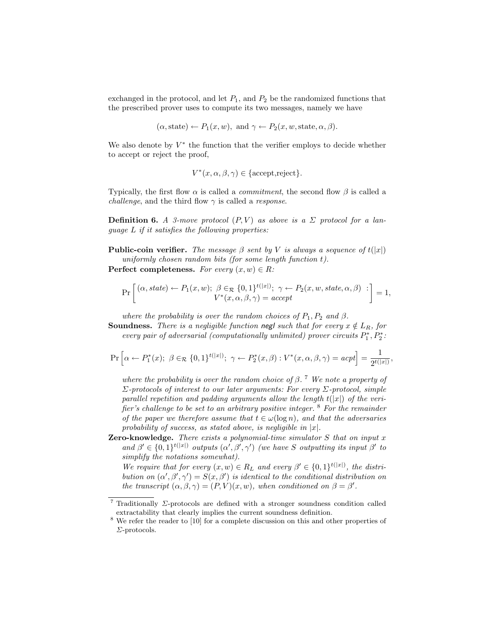exchanged in the protocol, and let  $P_1$ , and  $P_2$  be the randomized functions that the prescribed prover uses to compute its two messages, namely we have

$$
(\alpha, \text{state}) \leftarrow P_1(x, w)
$$
, and  $\gamma \leftarrow P_2(x, w, \text{state}, \alpha, \beta)$ .

We also denote by  $V^*$  the function that the verifier employs to decide whether to accept or reject the proof,

$$
V^*(x, \alpha, \beta, \gamma) \in \{\text{accept,reject}\}.
$$

Typically, the first flow  $\alpha$  is called a *commitment*, the second flow  $\beta$  is called a *challenge*, and the third flow  $\gamma$  is called a *response*.

**Definition 6.** A 3-move protocol  $(P, V)$  as above is a  $\Sigma$  protocol for a language L if it satisfies the following properties:

**Public-coin verifier.** The message  $\beta$  sent by V is always a sequence of  $t(|x|)$ uniformly chosen random bits (for some length function t).

Perfect completeness. For every  $(x, w) \in R$ :

$$
\Pr\left[\n(a, state) \leftarrow P_1(x, w); \ \beta \in_R \{0, 1\}^{t(|x|)}; \ \gamma \leftarrow P_2(x, w, state, \alpha, \beta) : \right] = 1, \\
V^*(x, \alpha, \beta, \gamma) = accept
$$

where the probability is over the random choices of  $P_1, P_2$  and  $\beta$ .

**Soundness.** There is a negligible function negl such that for every  $x \notin L_R$ , for every pair of adversarial (computationally unlimited) prover circuits  $P_1^*, P_2^*$ :

$$
\Pr\left[\alpha \leftarrow P_1^*(x); \ \beta \in_R \{0,1\}^{t(|x|)}; \ \gamma \leftarrow P_2^*(x,\beta): V^*(x,\alpha,\beta,\gamma) = acpt\right] = \frac{1}{2^{t(|x|)}},
$$

where the probability is over the random choice of  $\beta$ . <sup>7</sup> We note a property of  $Σ$ -protocols of interest to our later arguments: For every  $Σ$ -protocol, simple parallel repetition and padding arguments allow the length  $t(|x|)$  of the verifier's challenge to be set to an arbitrary positive integer.  $8$  For the remainder of the paper we therefore assume that  $t \in \omega(\log n)$ , and that the adversaries probability of success, as stated above, is negligible in  $|x|$ .

**Zero-knowledge.** There exists a polynomial-time simulator  $S$  that on input  $x$ and  $\beta' \in \{0,1\}^{t(|x|)}$  outputs  $(\alpha', \beta', \gamma')$  (we have S outputting its input  $\beta'$  to simplify the notations somewhat).

We require that for every  $(x, w) \in R_L$  and every  $\beta' \in \{0, 1\}^{t(|x|)}$ , the distribution on  $(\alpha', \beta', \gamma') = S(x, \beta')$  is identical to the conditional distribution on the transcript  $(\alpha, \beta, \gamma) = (P, V)(x, w)$ , when conditioned on  $\beta = \beta'$ .

<sup>7</sup> Traditionally Σ-protocols are defined with a stronger soundness condition called extractability that clearly implies the current soundness definition.

<sup>8</sup> We refer the reader to [10] for a complete discussion on this and other properties of Σ-protocols.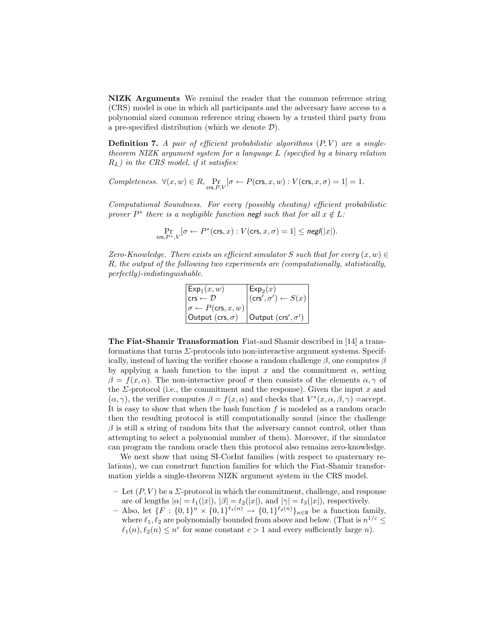NIZK Arguments We remind the reader that the common reference string (CRS) model is one in which all participants and the adversary have access to a polynomial sized common reference string chosen by a trusted third party from a pre-specified distribution (which we denote  $\mathcal{D}$ ).

**Definition 7.** A pair of efficient probabilistic algorithms  $(P, V)$  are a singletheorem NIZK argument system for a language L (specified by a binary relation  $R_L$ ) in the CRS model, if it satisfies:

 $Completeness.$   $\forall (x, w) \in R, \Pr_{\textsf{crs}, P, V}[\sigma \leftarrow P(\textsf{crs}, x, w) : V(\textsf{crs}, x, \sigma) = 1] = 1.$ 

Computational Soundness. For every (possibly cheating) efficient probabilistic prover  $P^*$  there is a negligible function negl such that for all  $x \notin L$ :

$$
\Pr_{\mathsf{crs},P^*,V}[\sigma \leftarrow P^*(\mathsf{crs},x) : V(\mathsf{crs},x,\sigma) = 1] \le \mathsf{negl}(|x|).
$$

Zero-Knowledge. There exists an efficient simulator S such that for every  $(x, w) \in$ R, the output of the following two experiments are (computationally, statistically, perfectly)-indistinguishable.

| $\mathsf{Exp}_1(x,w)$                     | $\mathsf{Exp}_2(x)$                             |
|-------------------------------------------|-------------------------------------------------|
| $\mathsf{crs} \leftarrow \mathcal{D}$     | $\vert$ (crs', $\sigma'$ )<br>$\leftarrow S(x)$ |
| $\sigma \leftarrow P(\textsf{crs}, x, w)$ |                                                 |
| Output (crs, $\sigma$ )                   | Output $(crs', \sigma')$                        |

The Fiat-Shamir Transformation Fiat-and Shamir described in [14] a transformations that turns  $\Sigma$ -protocols into non-interactive argument systems. Specifically, instead of having the verifier choose a random challenge  $\beta$ , one computes  $\beta$ by applying a hash function to the input x and the commitment  $\alpha$ , setting  $\beta = f(x, \alpha)$ . The non-interactive proof  $\sigma$  then consists of the elements  $\alpha, \gamma$  of the  $\Sigma$ -protocol (i.e., the commitment and the response). Given the input x and  $(\alpha, \gamma)$ , the verifier computes  $\beta = f(x, \alpha)$  and checks that  $V^*(x, \alpha, \beta, \gamma)$  =accept. It is easy to show that when the hash function  $f$  is modeled as a random oracle then the resulting protocol is still computationally sound (since the challenge  $\beta$  is still a string of random bits that the adversary cannot control, other than attempting to select a polynomial number of them). Moreover, if the simulator can program the random oracle then this protocol also remains zero-knowledge.

We next show that using SI-CorInt families (with respect to quaternary relations), we can construct function families for which the Fiat-Shamir transformation yields a single-theorem NIZK argument system in the CRS model.

- Let  $(P, V)$  be a  $\Sigma$ -protocol in which the commitment, challenge, and response are of lengths  $|\alpha| = t_1(|x|)$ ,  $|\beta| = t_2(|x|)$ , and  $|\gamma| = t_3(|x|)$ , respectively.
- Also, let  $\{F: \{0,1\}^n \times \{0,1\}^{\ell_1(n)} \to \{0,1\}^{\ell_2(n)}\}_{n\in\mathbb{N}}$  be a function family, where  $\ell_1, \ell_2$  are polynomially bounded from above and below. (That is  $n^{1/c} \le$  $\ell_1(n), \ell_2(n) \leq n^c$  for some constant  $c > 1$  and every sufficiently large n).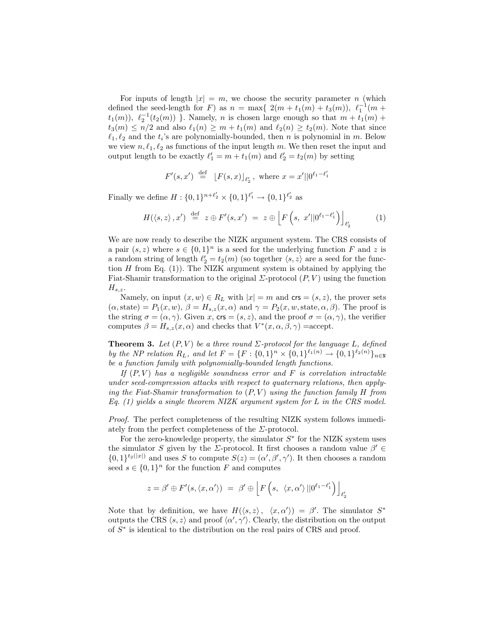For inputs of length  $|x| = m$ , we choose the security parameter n (which defined the seed-length for F) as  $n = \max\{2(m + t_1(m) + t_3(m)), \ell_1^{-1}(m +$  $t_1(m)$ ,  $\ell_2^{-1}(t_2(m))$  }. Namely, n is chosen large enough so that  $m + t_1(m) +$  $t_3(m) \leq n/2$  and also  $\ell_1(n) \geq m + t_1(m)$  and  $\ell_2(n) \geq t_2(m)$ . Note that since  $\ell_1, \ell_2$  and the  $t_i$ 's are polynomially-bounded, then n is polynomial in m. Below we view  $n, \ell_1, \ell_2$  as functions of the input length m. We then reset the input and output length to be exactly  $\ell'_1 = m + t_1(m)$  and  $\ell'_2 = t_2(m)$  by setting

$$
F'(s, x') \stackrel{\text{def}}{=} [F(s, x)]_{\ell'_2}
$$
, where  $x = x'||0^{\ell_1 - \ell'_1}$ 

Finally we define  $H: \{0,1\}^{n+\ell'_2} \times \{0,1\}^{\ell'_1} \to \{0,1\}^{\ell'_2}$  as

$$
H(\langle s,z\rangle,x') \stackrel{\text{def}}{=} z \oplus F'(s,x') = z \oplus \left[ F\left(s,x'\vert \vert 0^{\ell_1-\ell'_1}\right) \right]_{\ell'_2} \tag{1}
$$

We are now ready to describe the NIZK argument system. The CRS consists of a pair  $(s, z)$  where  $s \in \{0, 1\}^n$  is a seed for the underlying function F and z is a random string of length  $\ell_2' = t_2(m)$  (so together  $\langle s, z \rangle$  are a seed for the function  $H$  from Eq. (1)). The NIZK argument system is obtained by applying the Fiat-Shamir transformation to the original  $\Sigma$ -protocol  $(P, V)$  using the function  $H_{s,z}.$ 

Namely, on input  $(x, w) \in R_L$  with  $|x| = m$  and  $\text{crs} = (s, z)$ , the prover sets  $(\alpha, \text{state}) = P_1(x, w), \beta = H_{s,z}(x, \alpha) \text{ and } \gamma = P_2(x, w, \text{state}, \alpha, \beta).$  The proof is the string  $\sigma = (\alpha, \gamma)$ . Given x, crs = (s, z), and the proof  $\sigma = (\alpha, \gamma)$ , the verifier computes  $\beta = H_{s,z}(x,\alpha)$  and checks that  $V^*(x,\alpha,\beta,\gamma)$  =accept.

**Theorem 3.** Let  $(P, V)$  be a three round  $\Sigma$ -protocol for the language L, defined by the NP relation  $R_L$ , and let  $F = \{F : \{0,1\}^n \times \{0,1\}^{\ell_1(n)} \to \{0,1\}^{\ell_2(n)}\}_{n \in \mathbb{N}}$ be a function family with polynomially-bounded length functions.

If  $(P, V)$  has a negligible soundness error and  $F$  is correlation intractable under seed-compression attacks with respect to quaternary relations, then applying the Fiat-Shamir transformation to  $(P, V)$  using the function family H from Eq. (1) yields a single theorem NIZK argument system for L in the CRS model.

Proof. The perfect completeness of the resulting NIZK system follows immediately from the perfect completeness of the  $\Sigma$ -protocol.

For the zero-knowledge property, the simulator  $S^*$  for the NIZK system uses the simulator S given by the Σ-protocol. It first chooses a random value  $\beta' \in$  $\{0,1\}^{t_2(|x|)}$  and uses S to compute  $S(z) = (\alpha', \beta', \gamma')$ . It then chooses a random seed  $s \in \{0,1\}^n$  for the function F and computes

$$
z = \beta' \oplus F'(s, \langle x, \alpha' \rangle) = \beta' \oplus \left[ F\left(s, \langle x, \alpha' \rangle | 0^{\ell_1 - \ell_1'}\right) \right]_{\ell_2'}
$$

Note that by definition, we have  $H(\langle s, z \rangle, \langle x, \alpha' \rangle) = \beta'$ . The simulator  $S^*$ outputs the CRS  $\langle s, z \rangle$  and proof  $\langle \alpha', \gamma' \rangle$ . Clearly, the distribution on the output of  $S^*$  is identical to the distribution on the real pairs of CRS and proof.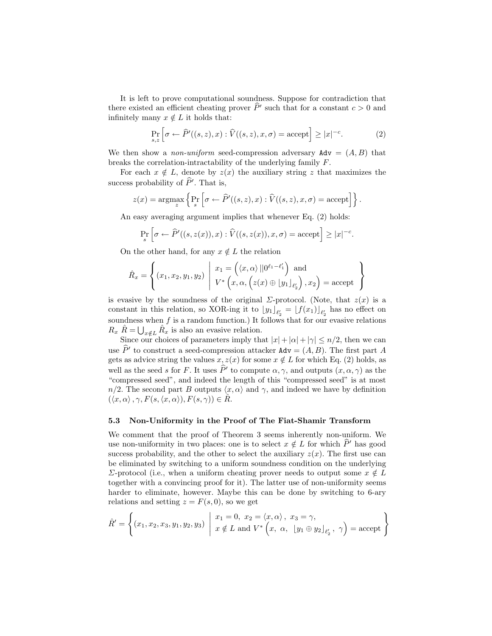It is left to prove computational soundness. Suppose for contradiction that there existed an efficient cheating prover  $\hat{P}'$  such that for a constant  $c > 0$  and infinitely many  $x \notin L$  it holds that:

$$
\Pr_{s,z} \left[ \sigma \leftarrow \widehat{P}'((s,z),x) : \widehat{V}((s,z),x,\sigma) = \text{accept} \right] \ge |x|^{-c}.
$$
 (2)

We then show a *non-uniform* seed-compression adversary  $\mathbf{Adv} = (A, B)$  that breaks the correlation-intractability of the underlying family F.

For each  $x \notin L$ , denote by  $z(x)$  the auxiliary string z that maximizes the success probability of  $\widehat{P}'$ . That is,

$$
z(x) = \operatorname*{argmax}_{z} \left\{ \Pr_{s} \left[ \sigma \leftarrow \widehat{P}'((s, z), x) : \widehat{V}((s, z), x, \sigma) = \operatorname*{accept} \right] \right\}.
$$

An easy averaging argument implies that whenever Eq. (2) holds:

$$
\Pr_s \left[ \sigma \leftarrow \widehat{P}'((s, z(x)), x) : \widehat{V}((s, z(x)), x, \sigma) = \text{accept} \right] \ge |x|^{-c}.
$$

On the other hand, for any  $x \notin L$  the relation

$$
\hat{R}_x = \left\{ (x_1, x_2, y_1, y_2) \middle| \begin{array}{l} x_1 = \left( \langle x, \alpha \rangle \left| \left| 0^{\ell_1 - \ell'_1} \right. \right. \right) \text{ and} \\ V^* \left( x, \alpha, \left( z(x) \oplus \left[ y_1 \right]_{\ell'_2} \right), x_2 \right) = \text{accept} \end{array} \right\}
$$

is evasive by the soundness of the original  $\Sigma$ -protocol. (Note, that  $z(x)$  is a constant in this relation, so XOR-ing it to  $[y_1]_{\ell'_2} = [f(x_1)]_{\ell'_2}$  has no effect on soundness when  $f$  is a random function.) It follows that for our evasive relations  $R_x \hat{R} = \bigcup_{x \notin L} \hat{R}_x$  is also an evasive relation.

Since our choices of parameters imply that  $|x| + |\alpha| + |\gamma| \leq n/2$ , then we can use  $\widehat{P}'$  to construct a seed-compression attacker  $\mathbf{A} \mathbf{d} \mathbf{v} = (A, B)$ . The first part A gets as advice string the values  $x, z(x)$  for some  $x \notin L$  for which Eq. (2) holds, as well as the seed s for F. It uses  $\widehat{P}'$  to compute  $\alpha, \gamma$ , and outputs  $(x, \alpha, \gamma)$  as the "compressed seed", and indeed the length of this "compressed seed" is at most  $n/2$ . The second part B outputs  $\langle x, \alpha \rangle$  and  $\gamma$ , and indeed we have by definition  $(\langle x, \alpha \rangle, \gamma, F(s, \langle x, \alpha \rangle), F(s, \gamma)) \in \hat{R}$ .

## 5.3 Non-Uniformity in the Proof of The Fiat-Shamir Transform

We comment that the proof of Theorem 3 seems inherently non-uniform. We use non-uniformity in two places: one is to select  $x \notin L$  for which  $\widehat{P}'$  has good success probability, and the other to select the auxiliary  $z(x)$ . The first use can be eliminated by switching to a uniform soundness condition on the underlying Σ-protocol (i.e., when a uniform cheating prover needs to output some  $x \notin L$ together with a convincing proof for it). The latter use of non-uniformity seems harder to eliminate, however. Maybe this can be done by switching to 6-ary relations and setting  $z = F(s, 0)$ , so we get

$$
\hat{R}' = \left\{ (x_1, x_2, x_3, y_1, y_2, y_3) \middle| \begin{array}{l} x_1 = 0, x_2 = \langle x, \alpha \rangle, x_3 = \gamma, \\ x \notin L \text{ and } V^* \left( x, \alpha, \lfloor y_1 \oplus y_2 \rfloor_{\ell'_2}, \gamma \right) = \text{accept} \end{array} \right\}
$$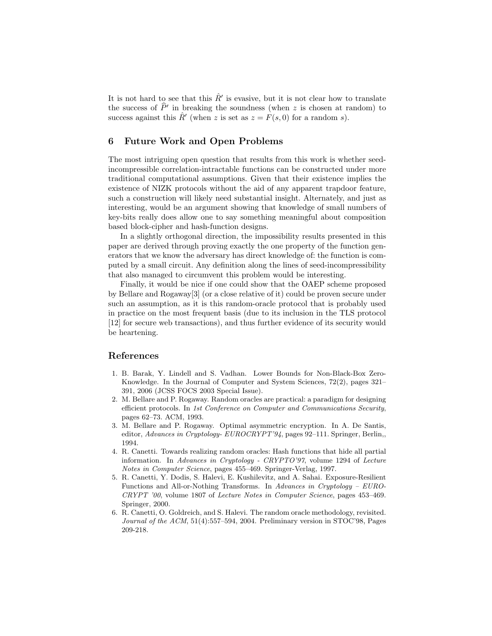It is not hard to see that this  $\hat{R}'$  is evasive, but it is not clear how to translate the success of  $\hat{P}'$  in breaking the soundness (when z is chosen at random) to success against this  $\hat{R}'$  (when z is set as  $z = F(s, 0)$  for a random s).

## 6 Future Work and Open Problems

The most intriguing open question that results from this work is whether seedincompressible correlation-intractable functions can be constructed under more traditional computational assumptions. Given that their existence implies the existence of NIZK protocols without the aid of any apparent trapdoor feature, such a construction will likely need substantial insight. Alternately, and just as interesting, would be an argument showing that knowledge of small numbers of key-bits really does allow one to say something meaningful about composition based block-cipher and hash-function designs.

In a slightly orthogonal direction, the impossibility results presented in this paper are derived through proving exactly the one property of the function generators that we know the adversary has direct knowledge of: the function is computed by a small circuit. Any definition along the lines of seed-incompressibility that also managed to circumvent this problem would be interesting.

Finally, it would be nice if one could show that the OAEP scheme proposed by Bellare and Rogaway[3] (or a close relative of it) could be proven secure under such an assumption, as it is this random-oracle protocol that is probably used in practice on the most frequent basis (due to its inclusion in the TLS protocol [12] for secure web transactions), and thus further evidence of its security would be heartening.

## References

- 1. B. Barak, Y. Lindell and S. Vadhan. Lower Bounds for Non-Black-Box Zero-Knowledge. In the Journal of Computer and System Sciences, 72(2), pages 321– 391, 2006 (JCSS FOCS 2003 Special Issue).
- 2. M. Bellare and P. Rogaway. Random oracles are practical: a paradigm for designing efficient protocols. In 1st Conference on Computer and Communications Security, pages 62–73. ACM, 1993.
- 3. M. Bellare and P. Rogaway. Optimal asymmetric encryption. In A. De Santis, editor, Advances in Cryptology- EUROCRYPT'94, pages 92–111. Springer, Berlin,, 1994.
- 4. R. Canetti. Towards realizing random oracles: Hash functions that hide all partial information. In Advances in Cryptology - CRYPTO'97, volume 1294 of Lecture Notes in Computer Science, pages 455–469. Springer-Verlag, 1997.
- 5. R. Canetti, Y. Dodis, S. Halevi, E. Kushilevitz, and A. Sahai. Exposure-Resilient Functions and All-or-Nothing Transforms. In Advances in Cryptology – EURO-CRYPT '00, volume 1807 of Lecture Notes in Computer Science, pages 453–469. Springer, 2000.
- 6. R. Canetti, O. Goldreich, and S. Halevi. The random oracle methodology, revisited. Journal of the ACM, 51(4):557–594, 2004. Preliminary version in STOC'98, Pages 209-218.